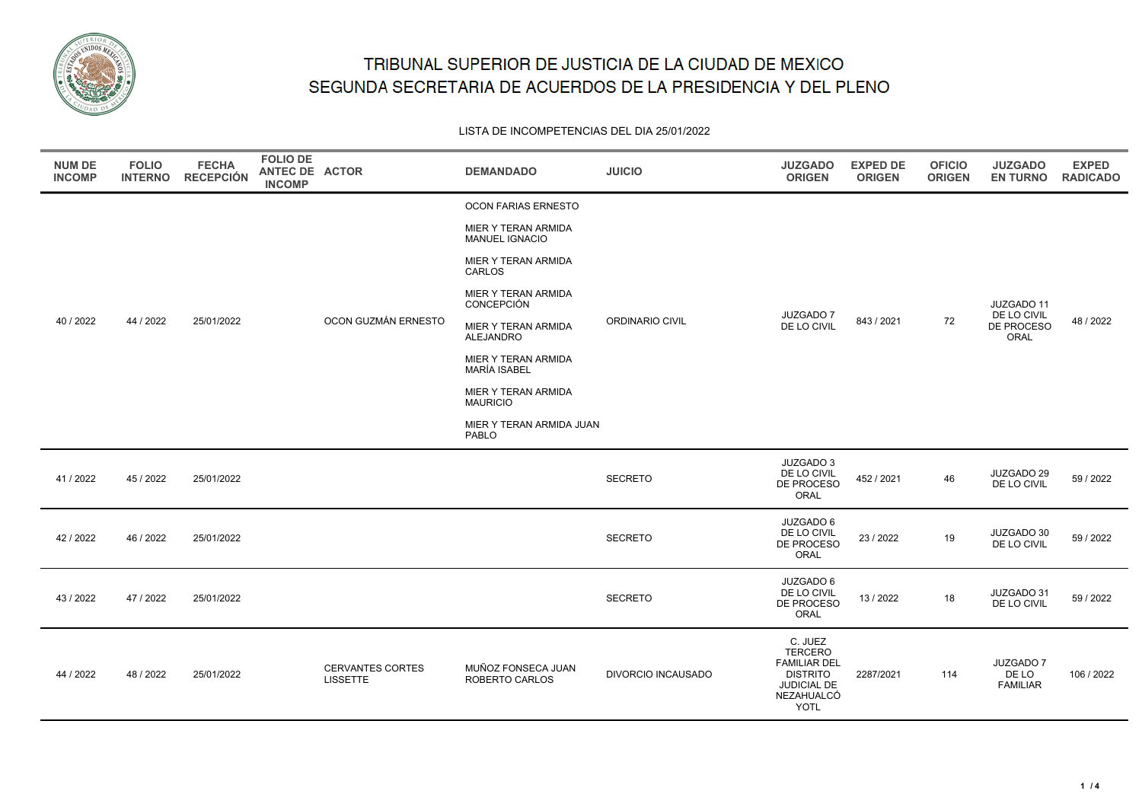

#### LISTA DE INCOMPETENCIAS DEL DIA 25/01/2022

| <b>NUM DE</b><br><b>INCOMP</b> | <b>FOLIO</b><br><b>INTERNO</b> | <b>FECHA</b><br><b>RECEPCIÓN</b> | <b>FOLIO DE</b><br>ANTEC DE ACTOR<br><b>INCOMP</b> |                                            | <b>DEMANDADO</b>                                           | <b>JUICIO</b>             | <b>JUZGADO</b><br><b>ORIGEN</b>                                                                                 | <b>EXPED DE</b><br><b>ORIGEN</b> | <b>OFICIO</b><br><b>ORIGEN</b> | <b>JUZGADO</b><br><b>EN TURNO</b>     | <b>EXPED</b><br><b>RADICADO</b> |
|--------------------------------|--------------------------------|----------------------------------|----------------------------------------------------|--------------------------------------------|------------------------------------------------------------|---------------------------|-----------------------------------------------------------------------------------------------------------------|----------------------------------|--------------------------------|---------------------------------------|---------------------------------|
|                                | 44 / 2022                      |                                  |                                                    |                                            | OCON FARIAS ERNESTO                                        |                           |                                                                                                                 |                                  |                                |                                       |                                 |
|                                |                                |                                  |                                                    |                                            | MIER Y TERAN ARMIDA<br>MANUEL IGNACIO                      |                           |                                                                                                                 |                                  |                                |                                       |                                 |
|                                |                                |                                  |                                                    |                                            | MIER Y TERAN ARMIDA<br>CARLOS                              |                           |                                                                                                                 |                                  |                                |                                       |                                 |
|                                |                                |                                  |                                                    |                                            | MIER Y TERAN ARMIDA<br>CONCEPCIÓN                          |                           |                                                                                                                 |                                  |                                | JUZGADO 11<br>DE LO CIVIL             |                                 |
| 40 / 2022                      |                                | 25/01/2022                       |                                                    | OCON GUZMÁN ERNESTO                        | ORDINARIO CIVIL<br>MIER Y TERAN ARMIDA<br><b>ALEJANDRO</b> | JUZGADO 7<br>DE LO CIVIL  | 843 / 2021                                                                                                      | 72                               | DE PROCESO<br>ORAL             | 48 / 2022                             |                                 |
|                                |                                |                                  |                                                    |                                            | MIER Y TERAN ARMIDA<br>MARÍA ISABEL                        |                           |                                                                                                                 |                                  |                                |                                       |                                 |
|                                |                                |                                  |                                                    |                                            | MIER Y TERAN ARMIDA<br><b>MAURICIO</b>                     |                           |                                                                                                                 |                                  |                                |                                       |                                 |
|                                |                                |                                  |                                                    |                                            | MIER Y TERAN ARMIDA JUAN<br>PABLO                          |                           |                                                                                                                 |                                  |                                |                                       |                                 |
| 41 / 2022                      | 45 / 2022                      | 25/01/2022                       |                                                    |                                            |                                                            | <b>SECRETO</b>            | JUZGADO 3<br>DE LO CIVIL<br>DE PROCESO<br>ORAL                                                                  | 452 / 2021                       | 46                             | JUZGADO 29<br>DE LO CIVIL             | 59 / 2022                       |
| 42 / 2022                      | 46 / 2022                      | 25/01/2022                       |                                                    |                                            |                                                            | <b>SECRETO</b>            | JUZGADO 6<br>DE LO CIVIL<br>DE PROCESO<br>ORAL                                                                  | 23/2022                          | 19                             | JUZGADO 30<br>DE LO CIVIL             | 59 / 2022                       |
| 43 / 2022                      | 47 / 2022                      | 25/01/2022                       |                                                    |                                            |                                                            | <b>SECRETO</b>            | JUZGADO 6<br>DE LO CIVIL<br>DE PROCESO<br>ORAL                                                                  | 13/2022                          | 18                             | JUZGADO 31<br>DE LO CIVIL             | 59 / 2022                       |
| 44 / 2022                      | 48 / 2022                      | 25/01/2022                       |                                                    | <b>CERVANTES CORTES</b><br><b>LISSETTE</b> | MUÑOZ FONSECA JUAN<br>ROBERTO CARLOS                       | <b>DIVORCIO INCAUSADO</b> | C. JUEZ<br><b>TERCERO</b><br><b>FAMILIAR DEL</b><br><b>DISTRITO</b><br>JUDICIAL DE<br>NEZAHUALCÓ<br><b>YOTL</b> | 2287/2021                        | 114                            | JUZGADO 7<br>DE LO<br><b>FAMILIAR</b> | 106 / 2022                      |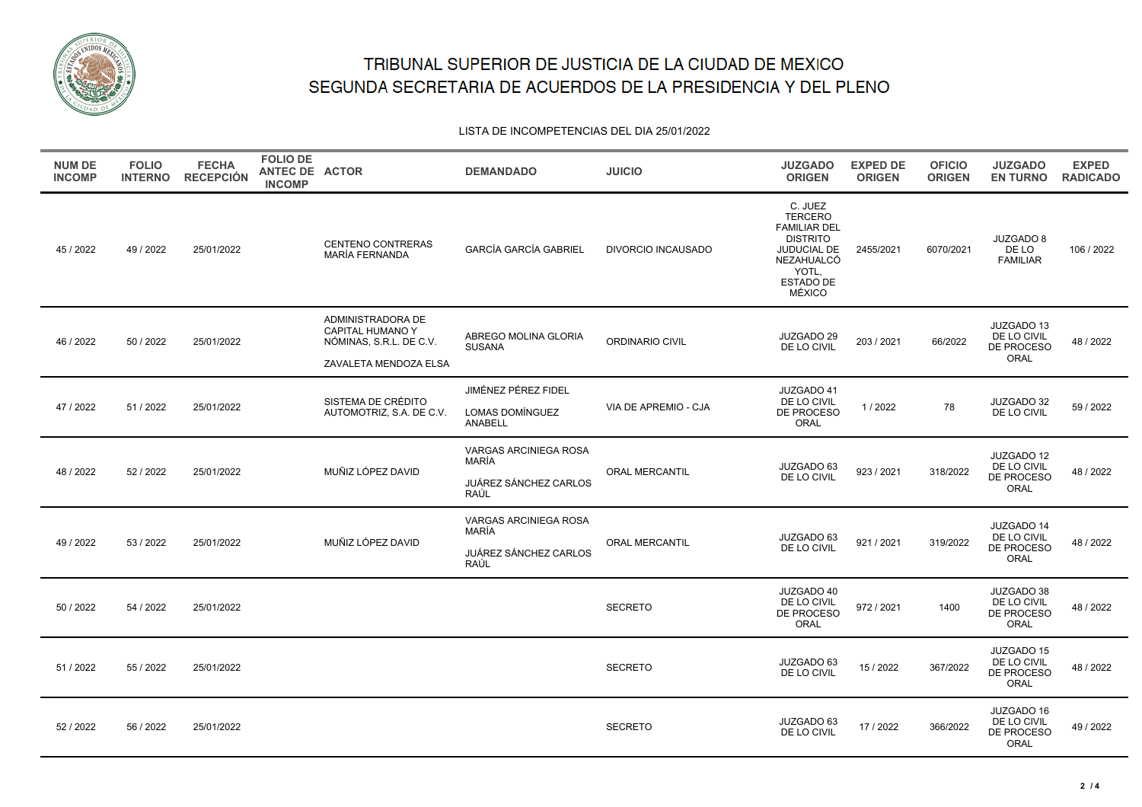

LISTA DE INCOMPETENCIAS DEL DIA 25/01/2022

| <b>NUM DE</b><br><b>INCOMP</b> | <b>FOLIO</b><br><b>INTERNO</b> | <b>FECHA</b><br><b>RECEPCIÓN</b> | <b>FOLIO DE</b><br>ANTEC DE ACTOR<br><b>INCOMP</b> |                                                                                           | <b>DEMANDADO</b>                                                       | <b>JUICIO</b>         | <b>JUZGADO</b><br><b>ORIGEN</b>                                                                                                  | <b>EXPED DE</b><br><b>ORIGEN</b> | <b>OFICIO</b><br><b>ORIGEN</b> | <b>JUZGADO</b><br><b>EN TURNO</b>                             | <b>EXPED</b><br><b>RADICADO</b> |
|--------------------------------|--------------------------------|----------------------------------|----------------------------------------------------|-------------------------------------------------------------------------------------------|------------------------------------------------------------------------|-----------------------|----------------------------------------------------------------------------------------------------------------------------------|----------------------------------|--------------------------------|---------------------------------------------------------------|---------------------------------|
| 45 / 2022                      | 49 / 2022                      | 25/01/2022                       |                                                    | <b>CENTENO CONTRERAS</b><br>MARÍA FERNANDA                                                | <b>GARCÍA GARCÍA GABRIEL</b>                                           | DIVORCIO INCAUSADO    | C. JUEZ<br><b>TERCERO</b><br><b>FAMILIAR DEL</b><br><b>DISTRITO</b><br>JUDUCIAL DE<br>NEZAHUALCÓ<br>YOTL,<br>ESTADO DE<br>MÉXICO | 2455/2021                        | 6070/2021                      | <b>JUZGADO 8</b><br>DE LO<br><b>FAMILIAR</b>                  | 106 / 2022                      |
| 46 / 2022                      | 50 / 2022                      | 25/01/2022                       |                                                    | ADMINISTRADORA DE<br>CAPITAL HUMANO Y<br>NÓMINAS, S.R.L. DE C.V.<br>ZAVALETA MENDOZA ELSA | ABREGO MOLINA GLORIA<br><b>SUSANA</b>                                  | ORDINARIO CIVIL       | JUZGADO 29<br>DE LO CIVIL                                                                                                        | 203 / 2021                       | 66/2022                        | JUZGADO 13<br>DE LO CIVIL<br>DE PROCESO<br>ORAL               | 48 / 2022                       |
| 47 / 2022                      | 51 / 2022                      | 25/01/2022                       |                                                    | SISTEMA DE CRÉDITO<br>AUTOMOTRIZ, S.A. DE C.V.                                            | <b>JIMÉNEZ PÉREZ FIDEL</b><br>LOMAS DOMÍNGUEZ<br>ANABELL               | VIA DE APREMIO - CJA  | JUZGADO 41<br>DE LO CIVIL<br>DE PROCESO<br>ORAL                                                                                  | 1/2022                           | 78                             | JUZGADO 32<br>DE LO CIVIL                                     | 59 / 2022                       |
| 48 / 2022                      | 52 / 2022                      | 25/01/2022                       |                                                    | MUÑIZ LÓPEZ DAVID                                                                         | <b>VARGAS ARCINIEGA ROSA</b><br>MARÍA<br>JUÁREZ SÁNCHEZ CARLOS<br>RAÚL | <b>ORAL MERCANTIL</b> | JUZGADO 63<br>DE LO CIVIL                                                                                                        | 923 / 2021                       | 318/2022                       | JUZGADO 12<br>DE LO CIVIL<br>DE PROCESO<br>ORAL               | 48 / 2022                       |
| 49 / 2022                      | 53 / 2022                      | 25/01/2022                       |                                                    | MUÑIZ LÓPEZ DAVID                                                                         | VARGAS ARCINIEGA ROSA<br>MARÍA<br>JUÁREZ SÁNCHEZ CARLOS<br>RAÚL        | ORAL MERCANTIL        | JUZGADO 63<br>DE LO CIVIL                                                                                                        | 921 / 2021                       | 319/2022                       | <b>JUZGADO 14</b><br>DE LO CIVIL<br>DE PROCESO<br><b>ORAL</b> | 48 / 2022                       |
| 50 / 2022                      | 54 / 2022                      | 25/01/2022                       |                                                    |                                                                                           |                                                                        | <b>SECRETO</b>        | JUZGADO 40<br>DE LO CIVIL<br>DE PROCESO<br>ORAL                                                                                  | 972 / 2021                       | 1400                           | JUZGADO 38<br>DE LO CIVIL<br>DE PROCESO<br>ORAL               | 48 / 2022                       |
| 51 / 2022                      | 55 / 2022                      | 25/01/2022                       |                                                    |                                                                                           |                                                                        | <b>SECRETO</b>        | JUZGADO 63<br>DE LO CIVIL                                                                                                        | 15/2022                          | 367/2022                       | JUZGADO 15<br>DE LO CIVIL<br>DE PROCESO<br>ORAL               | 48 / 2022                       |
| 52 / 2022                      | 56 / 2022                      | 25/01/2022                       |                                                    |                                                                                           |                                                                        | <b>SECRETO</b>        | JUZGADO 63<br>DE LO CIVIL                                                                                                        | 17/2022                          | 366/2022                       | JUZGADO 16<br>DE LO CIVIL<br>DE PROCESO<br>ORAL               | 49 / 2022                       |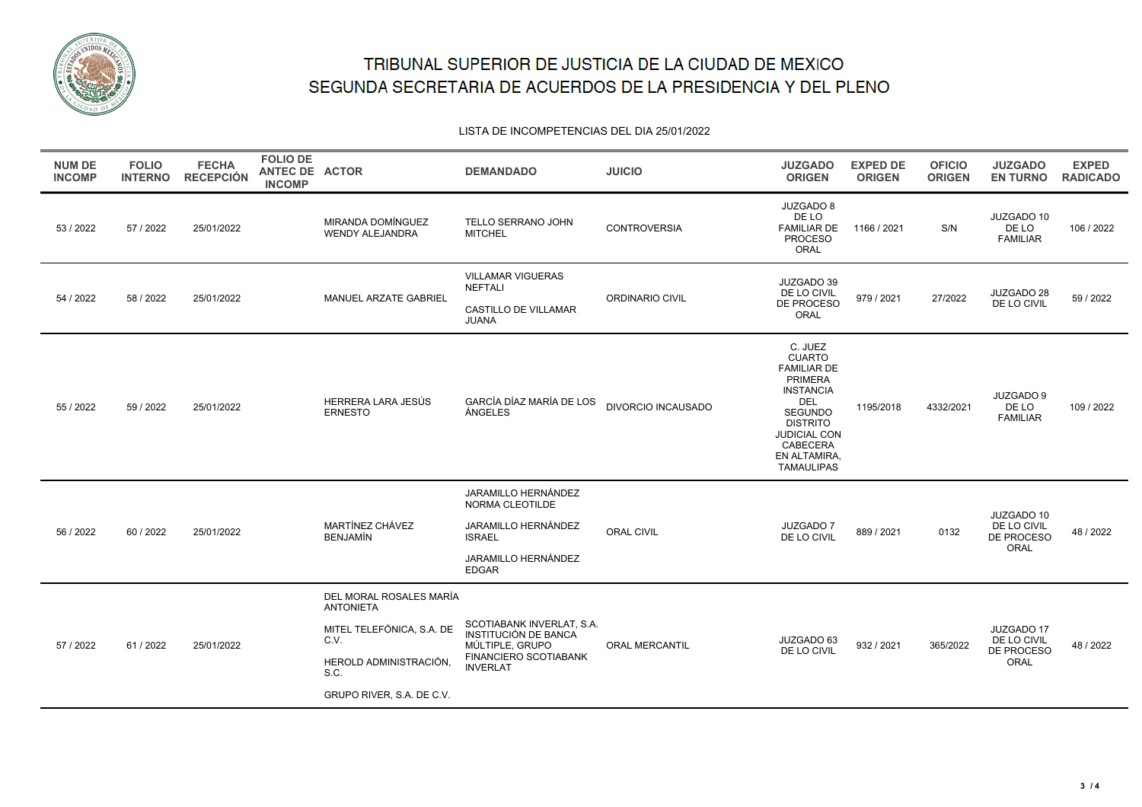

LISTA DE INCOMPETENCIAS DEL DIA 25/01/2022

| <b>NUM DE</b><br><b>INCOMP</b> | <b>FOLIO</b><br><b>INTERNO</b> | <b>FECHA</b><br><b>RECEPCIÓN</b> | <b>FOLIO DE</b><br>ANTEC DE ACTOR<br><b>INCOMP</b> |                                                                                                                                                 | <b>DEMANDADO</b>                                                                                                             | <b>JUICIO</b>       | <b>JUZGADO</b><br><b>ORIGEN</b>                                                                                                                                                                   | <b>EXPED DE</b><br><b>ORIGEN</b> | <b>OFICIO</b><br><b>ORIGEN</b> | <b>JUZGADO</b><br><b>EN TURNO</b>               | <b>EXPED</b><br><b>RADICADO</b> |
|--------------------------------|--------------------------------|----------------------------------|----------------------------------------------------|-------------------------------------------------------------------------------------------------------------------------------------------------|------------------------------------------------------------------------------------------------------------------------------|---------------------|---------------------------------------------------------------------------------------------------------------------------------------------------------------------------------------------------|----------------------------------|--------------------------------|-------------------------------------------------|---------------------------------|
| 53 / 2022                      | 57 / 2022                      | 25/01/2022                       |                                                    | MIRANDA DOMÍNGUEZ<br><b>WENDY ALEJANDRA</b>                                                                                                     | TELLO SERRANO JOHN<br><b>MITCHEL</b>                                                                                         | <b>CONTROVERSIA</b> | JUZGADO 8<br>DE LO<br><b>FAMILIAR DE</b><br><b>PROCESO</b><br>ORAL                                                                                                                                | 1166 / 2021                      | S/N                            | JUZGADO 10<br>DE LO<br><b>FAMILIAR</b>          | 106 / 2022                      |
| 54 / 2022                      | 58 / 2022                      | 25/01/2022                       |                                                    | MANUEL ARZATE GABRIEL                                                                                                                           | <b>VILLAMAR VIGUERAS</b><br><b>NEFTALI</b><br>CASTILLO DE VILLAMAR<br><b>JUANA</b>                                           | ORDINARIO CIVIL     | JUZGADO 39<br>DE LO CIVIL<br>DE PROCESO<br>ORAL                                                                                                                                                   | 979 / 2021                       | 27/2022                        | JUZGADO 28<br>DE LO CIVIL                       | 59 / 2022                       |
| 55 / 2022                      | 59 / 2022                      | 25/01/2022                       |                                                    | HERRERA LARA JESÚS<br><b>ERNESTO</b>                                                                                                            | GARCÍA DÍAZ MARÍA DE LOS<br>ÁNGELES                                                                                          | DIVORCIO INCAUSADO  | C. JUEZ<br><b>CUARTO</b><br><b>FAMILIAR DE</b><br>PRIMERA<br><b>INSTANCIA</b><br><b>DEL</b><br>SEGUNDO<br><b>DISTRITO</b><br><b>JUDICIAL CON</b><br>CABECERA<br>EN ALTAMIRA,<br><b>TAMAULIPAS</b> | 1195/2018                        | 4332/2021                      | JUZGADO 9<br>DE LO<br><b>FAMILIAR</b>           | 109 / 2022                      |
| 56 / 2022                      | 60 / 2022                      | 25/01/2022                       |                                                    | MARTÍNEZ CHÁVEZ<br><b>BENJAMÍN</b>                                                                                                              | JARAMILLO HERNÁNDEZ<br>NORMA CLEOTILDE<br><b>JARAMILLO HERNÁNDEZ</b><br><b>ISRAEL</b><br>JARAMILLO HERNÁNDEZ<br><b>EDGAR</b> | <b>ORAL CIVIL</b>   | JUZGADO 7<br>DE LO CIVIL                                                                                                                                                                          | 889 / 2021                       | 0132                           | JUZGADO 10<br>DE LO CIVIL<br>DE PROCESO<br>ORAL | 48 / 2022                       |
| 57 / 2022                      | 61 / 2022                      | 25/01/2022                       |                                                    | DEL MORAL ROSALES MARÍA<br><b>ANTONIETA</b><br>MITEL TELEFÓNICA, S.A. DE<br>C.V.<br>HEROLD ADMINISTRACIÓN,<br>S.C.<br>GRUPO RIVER, S.A. DE C.V. | SCOTIABANK INVERLAT, S.A.<br>INSTITUCIÓN DE BANCA<br>MÚLTIPLE, GRUPO<br>FINANCIERO SCOTIABANK<br><b>INVERLAT</b>             | ORAL MERCANTIL      | JUZGADO 63<br>DE LO CIVIL                                                                                                                                                                         | 932 / 2021                       | 365/2022                       | JUZGADO 17<br>DE LO CIVIL<br>DE PROCESO<br>ORAL | 48 / 2022                       |